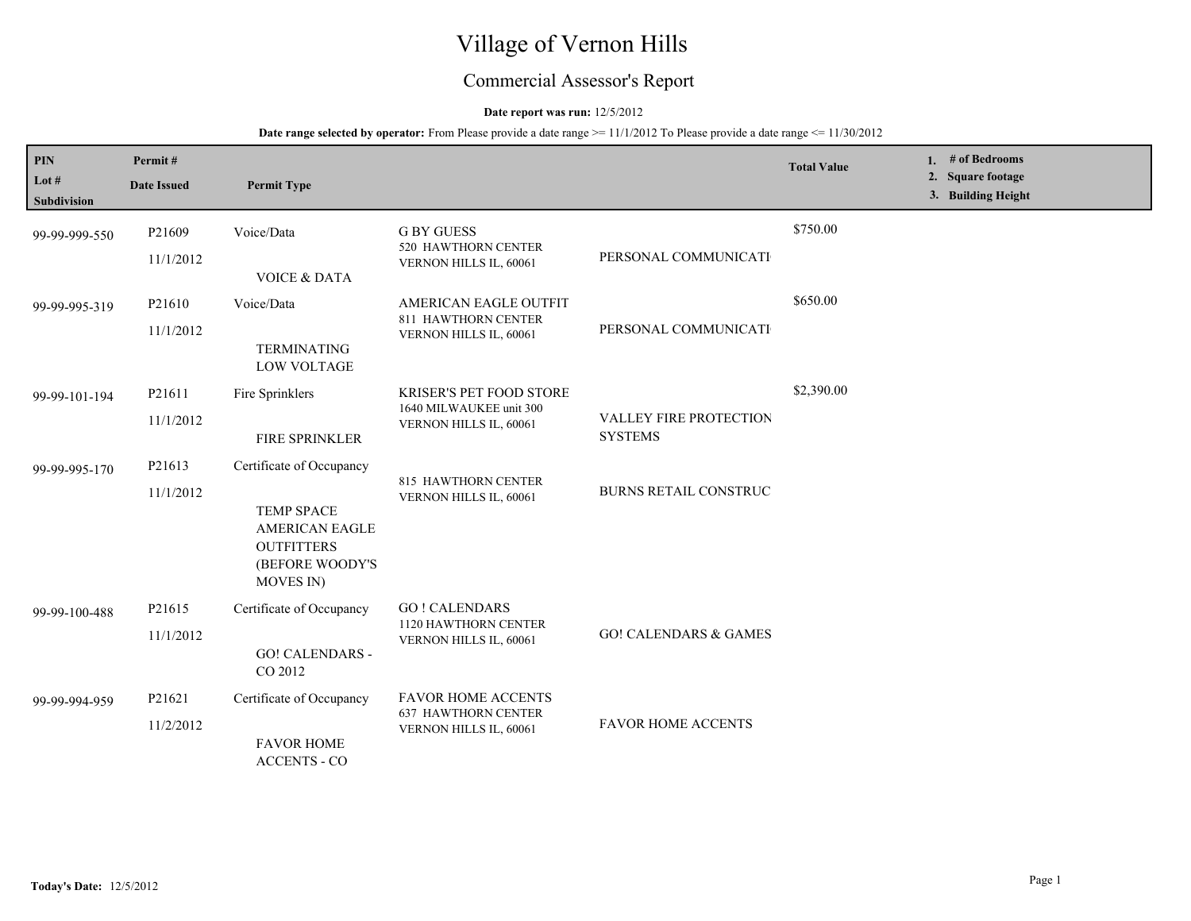# Village of Vernon Hills

## Commercial Assessor's Report

### **Date report was run:** 12/5/2012

| <b>PIN</b><br>Lot $#$<br>Subdivision | Permit#<br><b>Date Issued</b> | <b>Permit Type</b>                                                                                                                 |                                                                                     |                                                 | <b>Total Value</b> | 1. $#$ of Bedrooms<br>2. Square footage<br>3. Building Height |
|--------------------------------------|-------------------------------|------------------------------------------------------------------------------------------------------------------------------------|-------------------------------------------------------------------------------------|-------------------------------------------------|--------------------|---------------------------------------------------------------|
| 99-99-999-550                        | P21609<br>11/1/2012           | Voice/Data<br><b>VOICE &amp; DATA</b>                                                                                              | <b>G BY GUESS</b><br>520 HAWTHORN CENTER<br>VERNON HILLS IL, 60061                  | PERSONAL COMMUNICATI                            | \$750.00           |                                                               |
| 99-99-995-319                        | P21610<br>11/1/2012           | Voice/Data<br><b>TERMINATING</b><br><b>LOW VOLTAGE</b>                                                                             | AMERICAN EAGLE OUTFIT<br>811 HAWTHORN CENTER<br>VERNON HILLS IL, 60061              | PERSONAL COMMUNICATI                            | \$650.00           |                                                               |
| 99-99-101-194                        | P21611<br>11/1/2012           | Fire Sprinklers<br>FIRE SPRINKLER                                                                                                  | <b>KRISER'S PET FOOD STORE</b><br>1640 MILWAUKEE unit 300<br>VERNON HILLS IL, 60061 | <b>VALLEY FIRE PROTECTION</b><br><b>SYSTEMS</b> | \$2,390.00         |                                                               |
| 99-99-995-170                        | P21613<br>11/1/2012           | Certificate of Occupancy<br><b>TEMP SPACE</b><br><b>AMERICAN EAGLE</b><br><b>OUTFITTERS</b><br>(BEFORE WOODY'S<br><b>MOVES IN)</b> | 815 HAWTHORN CENTER<br>VERNON HILLS IL, 60061                                       | BURNS RETAIL CONSTRUC                           |                    |                                                               |
| 99-99-100-488                        | P21615<br>11/1/2012           | Certificate of Occupancy<br><b>GO! CALENDARS -</b><br>CO 2012                                                                      | <b>GO! CALENDARS</b><br>1120 HAWTHORN CENTER<br>VERNON HILLS IL, 60061              | <b>GO! CALENDARS &amp; GAMES</b>                |                    |                                                               |
| 99-99-994-959                        | P21621<br>11/2/2012           | Certificate of Occupancy<br><b>FAVOR HOME</b><br><b>ACCENTS - CO</b>                                                               | <b>FAVOR HOME ACCENTS</b><br><b>637 HAWTHORN CENTER</b><br>VERNON HILLS IL, 60061   | <b>FAVOR HOME ACCENTS</b>                       |                    |                                                               |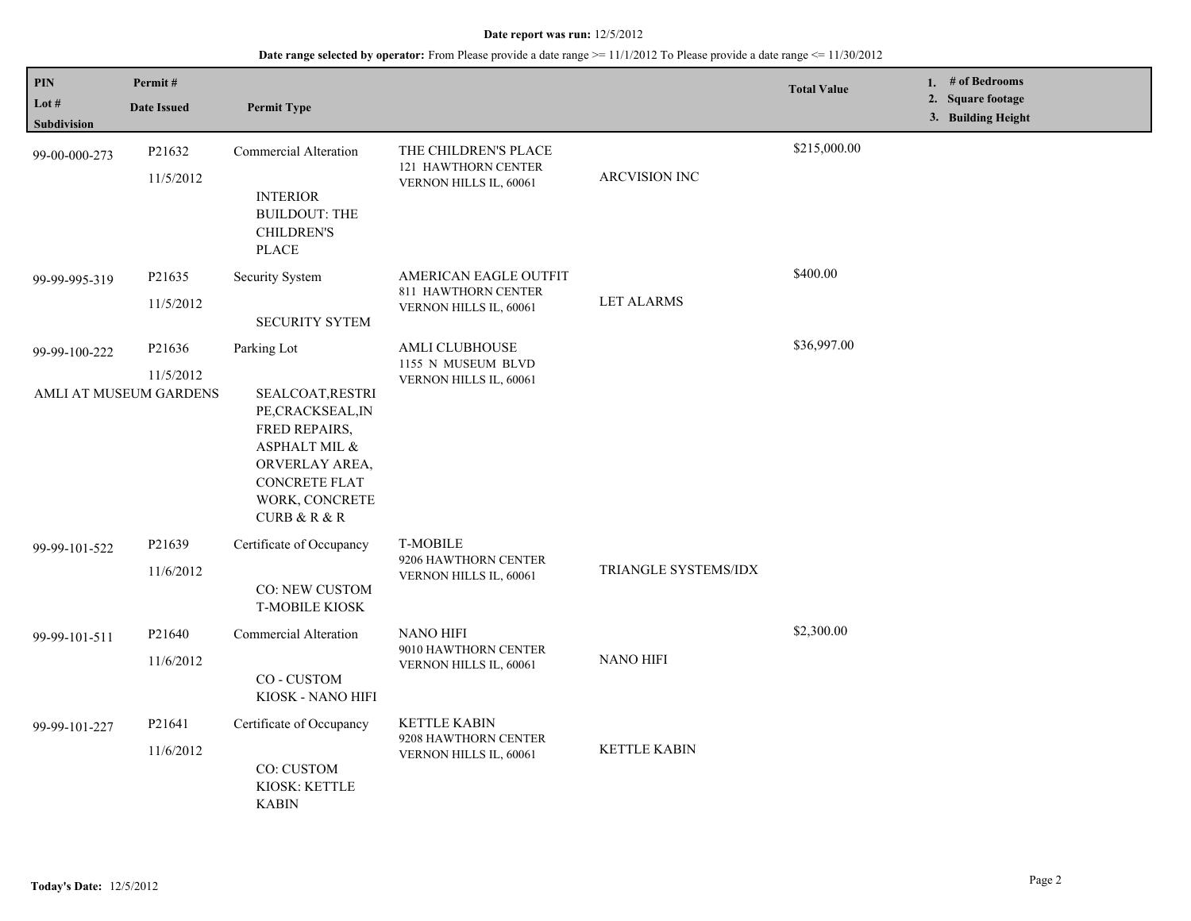| PIN<br>Lot #<br>Subdivision | Permit#<br><b>Date Issued</b> | <b>Permit Type</b>                                                                                                                                                 |                                                                        |                      | <b>Total Value</b> | 1. # of Bedrooms<br>2. Square footage<br>3. Building Height |
|-----------------------------|-------------------------------|--------------------------------------------------------------------------------------------------------------------------------------------------------------------|------------------------------------------------------------------------|----------------------|--------------------|-------------------------------------------------------------|
| 99-00-000-273               | P21632<br>11/5/2012           | <b>Commercial Alteration</b><br><b>INTERIOR</b><br><b>BUILDOUT: THE</b><br><b>CHILDREN'S</b><br><b>PLACE</b>                                                       | THE CHILDREN'S PLACE<br>121 HAWTHORN CENTER<br>VERNON HILLS IL, 60061  | ARCVISION INC        | \$215,000.00       |                                                             |
| 99-99-995-319               | P21635<br>11/5/2012           | Security System<br><b>SECURITY SYTEM</b>                                                                                                                           | AMERICAN EAGLE OUTFIT<br>811 HAWTHORN CENTER<br>VERNON HILLS IL, 60061 | <b>LET ALARMS</b>    | \$400.00           |                                                             |
| 99-99-100-222               | P21636<br>11/5/2012           | Parking Lot                                                                                                                                                        | AMLI CLUBHOUSE<br>1155 N MUSEUM BLVD                                   |                      | \$36,997.00        |                                                             |
|                             | AMLI AT MUSEUM GARDENS        | SEALCOAT, RESTRI<br>PE, CRACKSEAL, IN<br>FRED REPAIRS,<br>ASPHALT MIL &<br>ORVERLAY AREA,<br><b>CONCRETE FLAT</b><br>WORK, CONCRETE<br><b>CURB &amp; R &amp; R</b> | VERNON HILLS IL, 60061                                                 |                      |                    |                                                             |
| 99-99-101-522               | P21639<br>11/6/2012           | Certificate of Occupancy<br>CO: NEW CUSTOM<br><b>T-MOBILE KIOSK</b>                                                                                                | <b>T-MOBILE</b><br>9206 HAWTHORN CENTER<br>VERNON HILLS IL, 60061      | TRIANGLE SYSTEMS/IDX |                    |                                                             |
| 99-99-101-511               | P21640<br>11/6/2012           | Commercial Alteration<br>CO-CUSTOM<br>KIOSK - NANO HIFI                                                                                                            | <b>NANO HIFI</b><br>9010 HAWTHORN CENTER<br>VERNON HILLS IL, 60061     | <b>NANO HIFI</b>     | \$2,300.00         |                                                             |
| 99-99-101-227               | P21641<br>11/6/2012           | Certificate of Occupancy<br>CO: CUSTOM<br>KIOSK: KETTLE<br><b>KABIN</b>                                                                                            | <b>KETTLE KABIN</b><br>9208 HAWTHORN CENTER<br>VERNON HILLS IL, 60061  | <b>KETTLE KABIN</b>  |                    |                                                             |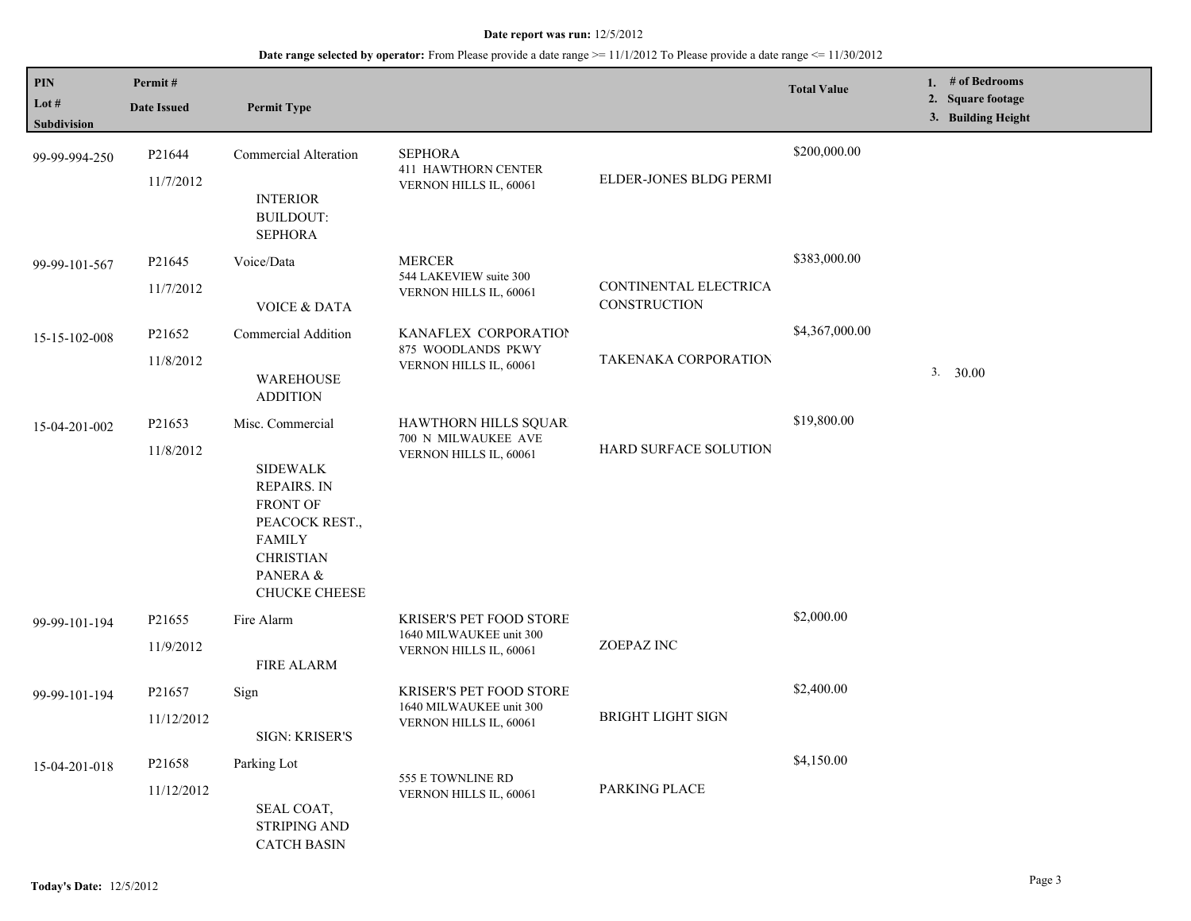| PIN                           | Permit#            |                                                                                                                                                     |                                                           |                                              | <b>Total Value</b> | 1. # of Bedrooms                        |
|-------------------------------|--------------------|-----------------------------------------------------------------------------------------------------------------------------------------------------|-----------------------------------------------------------|----------------------------------------------|--------------------|-----------------------------------------|
| Lot $#$<br><b>Subdivision</b> | <b>Date Issued</b> | <b>Permit Type</b>                                                                                                                                  |                                                           |                                              |                    | 2. Square footage<br>3. Building Height |
| 99-99-994-250                 | P21644             | <b>Commercial Alteration</b>                                                                                                                        | <b>SEPHORA</b><br><b>411 HAWTHORN CENTER</b>              |                                              | \$200,000.00       |                                         |
|                               | 11/7/2012          | <b>INTERIOR</b><br><b>BUILDOUT:</b><br><b>SEPHORA</b>                                                                                               | VERNON HILLS IL, 60061                                    | ELDER-JONES BLDG PERMI                       |                    |                                         |
| 99-99-101-567                 | P <sub>21645</sub> | Voice/Data                                                                                                                                          | <b>MERCER</b>                                             |                                              | \$383,000.00       |                                         |
|                               | 11/7/2012          | <b>VOICE &amp; DATA</b>                                                                                                                             | 544 LAKEVIEW suite 300<br>VERNON HILLS IL, 60061          | CONTINENTAL ELECTRICA<br><b>CONSTRUCTION</b> |                    |                                         |
| 15-15-102-008                 | P21652             | Commercial Addition                                                                                                                                 | KANAFLEX CORPORATION<br>875 WOODLANDS PKWY                |                                              | \$4,367,000.00     |                                         |
|                               | 11/8/2012          | <b>WAREHOUSE</b><br><b>ADDITION</b>                                                                                                                 | VERNON HILLS IL, 60061                                    | <b>TAKENAKA CORPORATION</b>                  |                    | 3. 30.00                                |
| 15-04-201-002                 | P21653             | Misc. Commercial                                                                                                                                    | <b>HAWTHORN HILLS SQUAR</b>                               |                                              | \$19,800.00        |                                         |
|                               | 11/8/2012          | <b>SIDEWALK</b><br><b>REPAIRS. IN</b><br><b>FRONT OF</b><br>PEACOCK REST.,<br><b>FAMILY</b><br><b>CHRISTIAN</b><br>PANERA &<br><b>CHUCKE CHEESE</b> | 700 N MILWAUKEE AVE<br>VERNON HILLS IL, 60061             | HARD SURFACE SOLUTION                        |                    |                                         |
| 99-99-101-194                 | P <sub>21655</sub> | Fire Alarm                                                                                                                                          | <b>KRISER'S PET FOOD STORE</b><br>1640 MILWAUKEE unit 300 |                                              | \$2,000.00         |                                         |
|                               | 11/9/2012          | <b>FIRE ALARM</b>                                                                                                                                   | VERNON HILLS IL, 60061                                    | ZOEPAZ INC                                   |                    |                                         |
| 99-99-101-194                 | P21657             | Sign                                                                                                                                                | <b>KRISER'S PET FOOD STORE</b>                            |                                              | \$2,400.00         |                                         |
|                               | 11/12/2012         | SIGN: KRISER'S                                                                                                                                      | 1640 MILWAUKEE unit 300<br>VERNON HILLS IL, 60061         | <b>BRIGHT LIGHT SIGN</b>                     |                    |                                         |
| 15-04-201-018                 | P21658             | Parking Lot                                                                                                                                         |                                                           |                                              | \$4,150.00         |                                         |
|                               | 11/12/2012         | SEAL COAT,<br><b>STRIPING AND</b><br><b>CATCH BASIN</b>                                                                                             | 555 E TOWNLINE RD<br>VERNON HILLS IL, 60061               | PARKING PLACE                                |                    |                                         |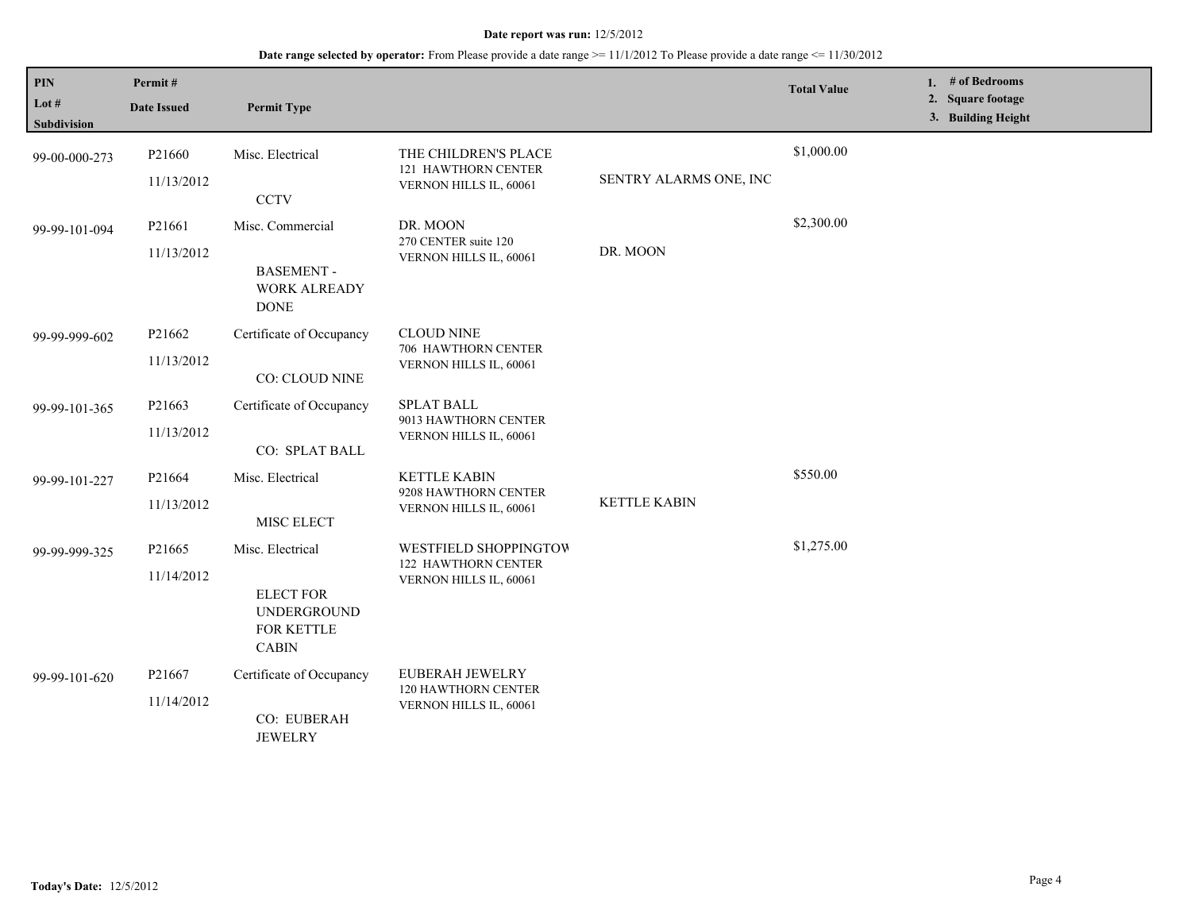| PIN<br>Lot $#$<br>Subdivision | Permit#<br><b>Date Issued</b> | <b>Permit Type</b>                                                                |                                                                        |                        | <b>Total Value</b> | 1. # of Bedrooms<br>2. Square footage<br>3. Building Height |
|-------------------------------|-------------------------------|-----------------------------------------------------------------------------------|------------------------------------------------------------------------|------------------------|--------------------|-------------------------------------------------------------|
| 99-00-000-273                 | P21660<br>11/13/2012          | Misc. Electrical<br><b>CCTV</b>                                                   | THE CHILDREN'S PLACE<br>121 HAWTHORN CENTER<br>VERNON HILLS IL, 60061  | SENTRY ALARMS ONE, INC | \$1,000.00         |                                                             |
| 99-99-101-094                 | P21661<br>11/13/2012          | Misc. Commercial<br><b>BASEMENT-</b><br><b>WORK ALREADY</b><br><b>DONE</b>        | DR. MOON<br>270 CENTER suite 120<br>VERNON HILLS IL, 60061             | DR. MOON               | \$2,300.00         |                                                             |
| 99-99-999-602                 | P21662<br>11/13/2012          | Certificate of Occupancy<br>CO: CLOUD NINE                                        | <b>CLOUD NINE</b><br>706 HAWTHORN CENTER<br>VERNON HILLS IL, 60061     |                        |                    |                                                             |
| 99-99-101-365                 | P21663<br>11/13/2012          | Certificate of Occupancy<br>CO: SPLAT BALL                                        | <b>SPLAT BALL</b><br>9013 HAWTHORN CENTER<br>VERNON HILLS IL, 60061    |                        |                    |                                                             |
| 99-99-101-227                 | P21664<br>11/13/2012          | Misc. Electrical<br>MISC ELECT                                                    | <b>KETTLE KABIN</b><br>9208 HAWTHORN CENTER<br>VERNON HILLS IL, 60061  | <b>KETTLE KABIN</b>    | \$550.00           |                                                             |
| 99-99-999-325                 | P21665<br>11/14/2012          | Misc. Electrical<br><b>ELECT FOR</b><br>UNDERGROUND<br>FOR KETTLE<br><b>CABIN</b> | WESTFIELD SHOPPINGTOW<br>122 HAWTHORN CENTER<br>VERNON HILLS IL, 60061 |                        | \$1,275.00         |                                                             |
| 99-99-101-620                 | P21667<br>11/14/2012          | Certificate of Occupancy<br>CO: EUBERAH<br><b>JEWELRY</b>                         | EUBERAH JEWELRY<br>120 HAWTHORN CENTER<br>VERNON HILLS IL, 60061       |                        |                    |                                                             |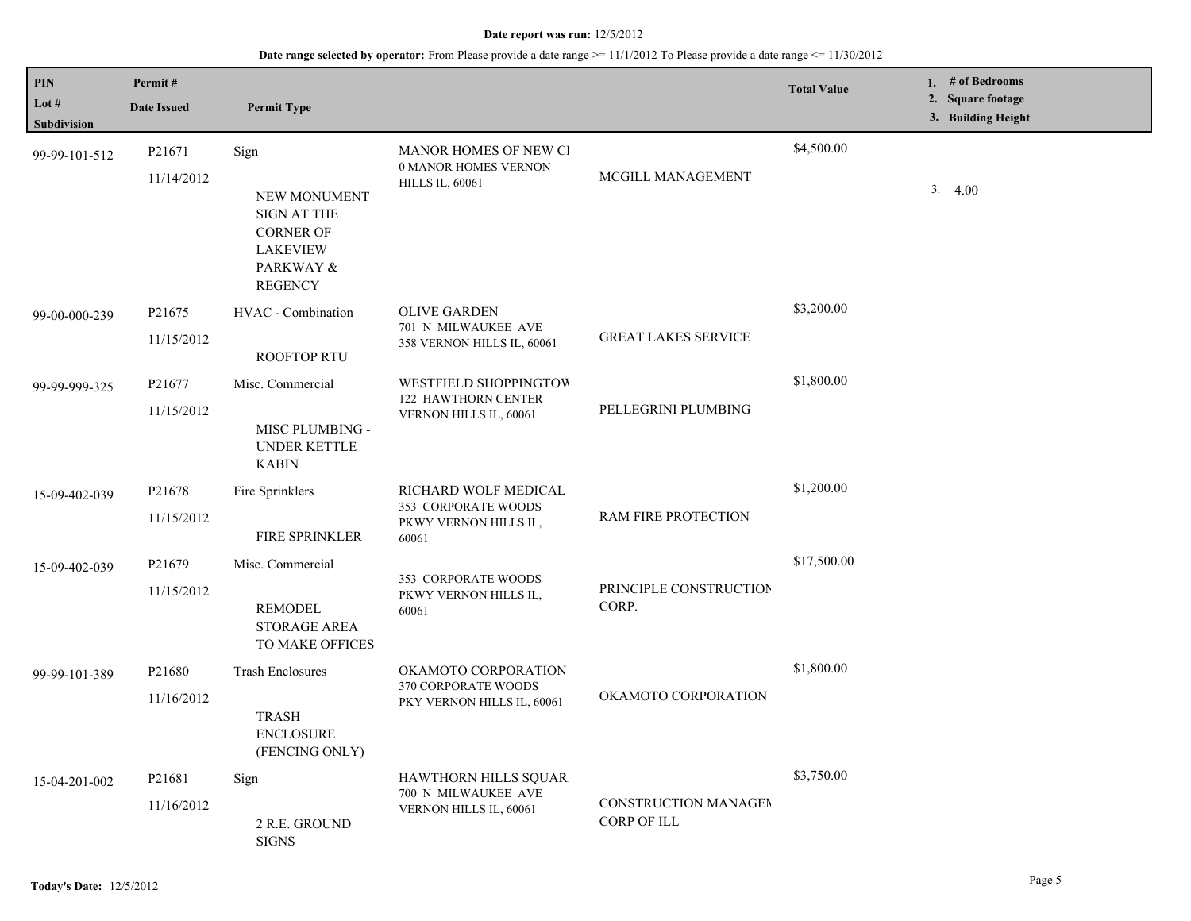| <b>PIN</b>                  | Permit#                          |                                                                                                           |                                                                               |                                            | <b>Total Value</b> | 1. # of Bedrooms                        |
|-----------------------------|----------------------------------|-----------------------------------------------------------------------------------------------------------|-------------------------------------------------------------------------------|--------------------------------------------|--------------------|-----------------------------------------|
| Lot #<br><b>Subdivision</b> | <b>Date Issued</b>               | <b>Permit Type</b>                                                                                        |                                                                               |                                            |                    | 2. Square footage<br>3. Building Height |
| 99-99-101-512               | P <sub>21671</sub><br>11/14/2012 | Sign<br>NEW MONUMENT<br>SIGN AT THE<br><b>CORNER OF</b><br><b>LAKEVIEW</b><br>PARKWAY &<br><b>REGENCY</b> | MANOR HOMES OF NEW CI<br>0 MANOR HOMES VERNON<br><b>HILLS IL, 60061</b>       | MCGILL MANAGEMENT                          | \$4,500.00         | 3.4.00                                  |
| 99-00-000-239               | P <sub>21675</sub><br>11/15/2012 | HVAC - Combination<br><b>ROOFTOP RTU</b>                                                                  | <b>OLIVE GARDEN</b><br>701 N MILWAUKEE AVE<br>358 VERNON HILLS IL, 60061      | <b>GREAT LAKES SERVICE</b>                 | \$3,200.00         |                                         |
| 99-99-999-325               | P21677<br>11/15/2012             | Misc. Commercial<br>MISC PLUMBING -<br>UNDER KETTLE<br><b>KABIN</b>                                       | WESTFIELD SHOPPINGTOW<br>122 HAWTHORN CENTER<br>VERNON HILLS IL, 60061        | PELLEGRINI PLUMBING                        | \$1,800.00         |                                         |
| 15-09-402-039               | P21678<br>11/15/2012             | Fire Sprinklers<br><b>FIRE SPRINKLER</b>                                                                  | RICHARD WOLF MEDICAL<br>353 CORPORATE WOODS<br>PKWY VERNON HILLS IL,<br>60061 | RAM FIRE PROTECTION                        | \$1,200.00         |                                         |
| 15-09-402-039               | P21679<br>11/15/2012             | Misc. Commercial<br><b>REMODEL</b><br>STORAGE AREA<br>TO MAKE OFFICES                                     | 353 CORPORATE WOODS<br>PKWY VERNON HILLS IL,<br>60061                         | PRINCIPLE CONSTRUCTION<br>CORP.            | \$17,500.00        |                                         |
| 99-99-101-389               | P21680<br>11/16/2012             | <b>Trash Enclosures</b><br><b>TRASH</b><br><b>ENCLOSURE</b><br>(FENCING ONLY)                             | OKAMOTO CORPORATION<br>370 CORPORATE WOODS<br>PKY VERNON HILLS IL, 60061      | OKAMOTO CORPORATION                        | \$1,800.00         |                                         |
| 15-04-201-002               | P21681<br>11/16/2012             | Sign<br>2 R.E. GROUND<br><b>SIGNS</b>                                                                     | HAWTHORN HILLS SQUAR<br>700 N MILWAUKEE AVE<br>VERNON HILLS IL, 60061         | CONSTRUCTION MANAGEM<br><b>CORP OF ILL</b> | \$3,750.00         |                                         |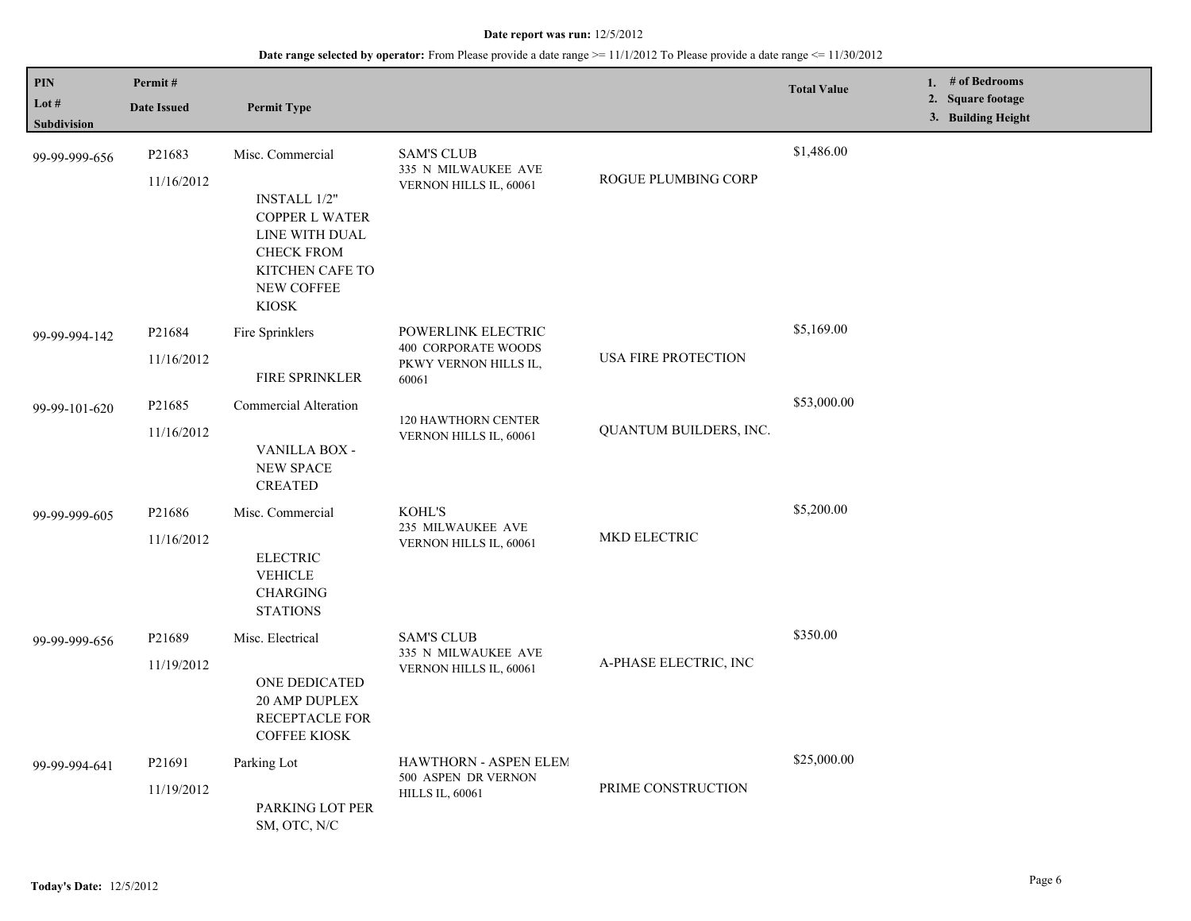| PIN<br>Lot #<br>Subdivision | Permit#<br><b>Date Issued</b>    | <b>Permit Type</b>                                                                                                                                       |                                                                                    |                            | <b>Total Value</b> | 1. # of Bedrooms<br>2. Square footage<br>3. Building Height |
|-----------------------------|----------------------------------|----------------------------------------------------------------------------------------------------------------------------------------------------------|------------------------------------------------------------------------------------|----------------------------|--------------------|-------------------------------------------------------------|
| 99-99-999-656               | P21683<br>11/16/2012             | Misc. Commercial<br><b>INSTALL 1/2"</b><br><b>COPPER L WATER</b><br>LINE WITH DUAL<br><b>CHECK FROM</b><br>KITCHEN CAFE TO<br>NEW COFFEE<br><b>KIOSK</b> | <b>SAM'S CLUB</b><br>335 N MILWAUKEE AVE<br>VERNON HILLS IL, 60061                 | ROGUE PLUMBING CORP        | \$1,486.00         |                                                             |
| 99-99-994-142               | P <sub>21684</sub><br>11/16/2012 | Fire Sprinklers<br><b>FIRE SPRINKLER</b>                                                                                                                 | POWERLINK ELECTRIC<br><b>400 CORPORATE WOODS</b><br>PKWY VERNON HILLS IL,<br>60061 | <b>USA FIRE PROTECTION</b> | \$5,169.00         |                                                             |
| 99-99-101-620               | P21685<br>11/16/2012             | Commercial Alteration<br>VANILLA BOX -<br>NEW SPACE<br><b>CREATED</b>                                                                                    | <b>120 HAWTHORN CENTER</b><br>VERNON HILLS IL, 60061                               | QUANTUM BUILDERS, INC.     | \$53,000.00        |                                                             |
| 99-99-999-605               | P <sub>21686</sub><br>11/16/2012 | Misc. Commercial<br><b>ELECTRIC</b><br><b>VEHICLE</b><br><b>CHARGING</b><br><b>STATIONS</b>                                                              | KOHL'S<br>235 MILWAUKEE AVE<br>VERNON HILLS IL, 60061                              | <b>MKD ELECTRIC</b>        | \$5,200.00         |                                                             |
| 99-99-999-656               | P21689<br>11/19/2012             | Misc. Electrical<br>ONE DEDICATED<br>20 AMP DUPLEX<br><b>RECEPTACLE FOR</b><br><b>COFFEE KIOSK</b>                                                       | <b>SAM'S CLUB</b><br>335 N MILWAUKEE AVE<br>VERNON HILLS IL, 60061                 | A-PHASE ELECTRIC, INC      | \$350.00           |                                                             |
| 99-99-994-641               | P21691<br>11/19/2012             | Parking Lot<br>PARKING LOT PER<br>SM, OTC, N/C                                                                                                           | HAWTHORN - ASPEN ELEM<br>500 ASPEN DR VERNON<br><b>HILLS IL, 60061</b>             | PRIME CONSTRUCTION         | \$25,000.00        |                                                             |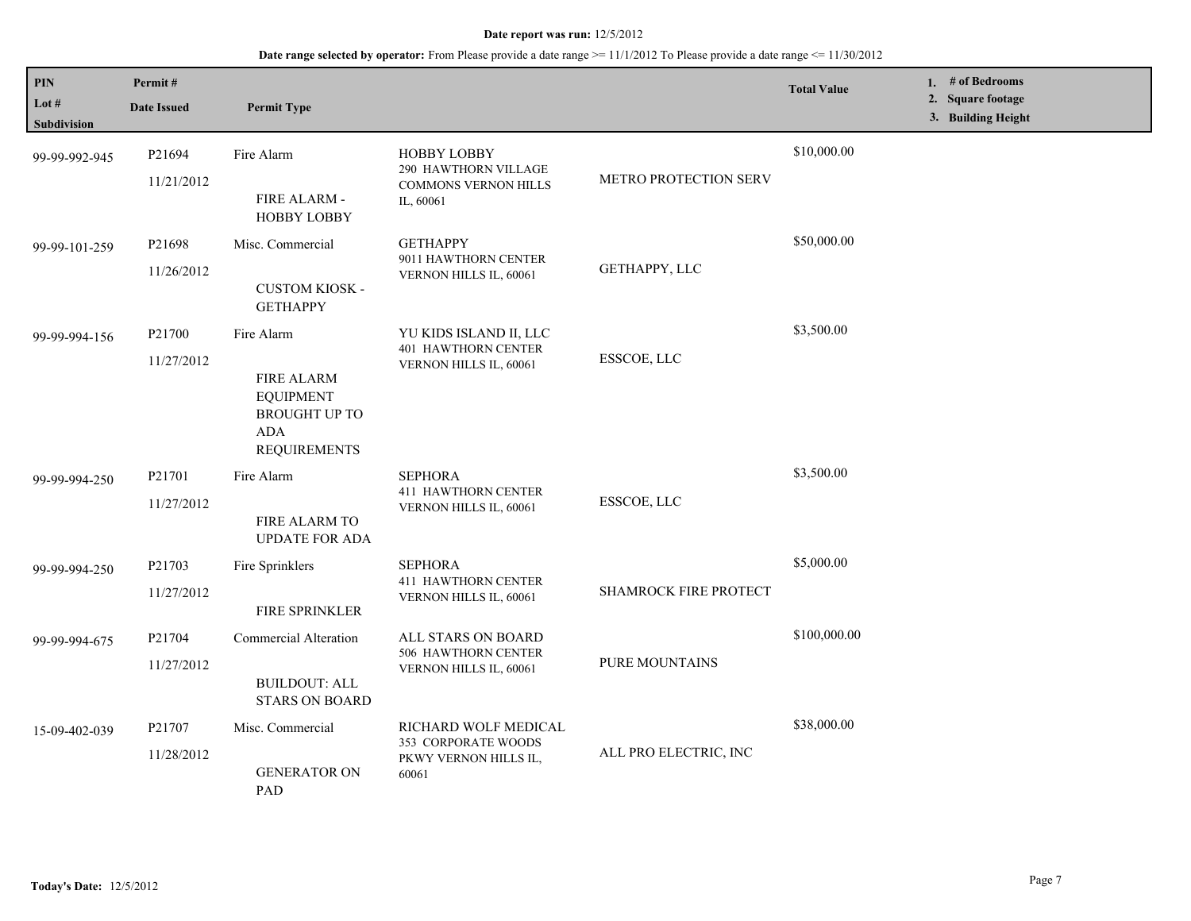| $\mathbf{PIN}$<br>Lot $#$<br><b>Subdivision</b> | Permit#<br><b>Date Issued</b>    | <b>Permit Type</b>                                                                                               |                                                                                        |                              | <b>Total Value</b> | 1. # of Bedrooms<br>2. Square footage<br>3. Building Height |
|-------------------------------------------------|----------------------------------|------------------------------------------------------------------------------------------------------------------|----------------------------------------------------------------------------------------|------------------------------|--------------------|-------------------------------------------------------------|
| 99-99-992-945                                   | P <sub>21694</sub><br>11/21/2012 | Fire Alarm<br>FIRE ALARM -<br><b>HOBBY LOBBY</b>                                                                 | <b>HOBBY LOBBY</b><br>290 HAWTHORN VILLAGE<br><b>COMMONS VERNON HILLS</b><br>IL, 60061 | <b>METRO PROTECTION SERV</b> | \$10,000.00        |                                                             |
| 99-99-101-259                                   | P21698<br>11/26/2012             | Misc. Commercial<br><b>CUSTOM KIOSK -</b><br><b>GETHAPPY</b>                                                     | <b>GETHAPPY</b><br>9011 HAWTHORN CENTER<br>VERNON HILLS IL, 60061                      | GETHAPPY, LLC                | \$50,000.00        |                                                             |
| 99-99-994-156                                   | P21700<br>11/27/2012             | Fire Alarm<br><b>FIRE ALARM</b><br><b>EQUIPMENT</b><br><b>BROUGHT UP TO</b><br><b>ADA</b><br><b>REQUIREMENTS</b> | YU KIDS ISLAND II, LLC<br><b>401 HAWTHORN CENTER</b><br>VERNON HILLS IL, 60061         | ESSCOE, LLC                  | \$3,500.00         |                                                             |
| 99-99-994-250                                   | P21701<br>11/27/2012             | Fire Alarm<br>FIRE ALARM TO<br><b>UPDATE FOR ADA</b>                                                             | <b>SEPHORA</b><br>411 HAWTHORN CENTER<br>VERNON HILLS IL, 60061                        | ESSCOE, LLC                  | \$3,500.00         |                                                             |
| 99-99-994-250                                   | P21703<br>11/27/2012             | Fire Sprinklers<br>FIRE SPRINKLER                                                                                | <b>SEPHORA</b><br><b>411 HAWTHORN CENTER</b><br>VERNON HILLS IL, 60061                 | <b>SHAMROCK FIRE PROTECT</b> | \$5,000.00         |                                                             |
| 99-99-994-675                                   | P21704<br>11/27/2012             | Commercial Alteration<br><b>BUILDOUT: ALL</b><br><b>STARS ON BOARD</b>                                           | ALL STARS ON BOARD<br>506 HAWTHORN CENTER<br>VERNON HILLS IL, 60061                    | PURE MOUNTAINS               | \$100,000.00       |                                                             |
| 15-09-402-039                                   | P <sub>21707</sub><br>11/28/2012 | Misc. Commercial<br><b>GENERATOR ON</b><br>PAD                                                                   | RICHARD WOLF MEDICAL<br>353 CORPORATE WOODS<br>PKWY VERNON HILLS IL,<br>60061          | ALL PRO ELECTRIC, INC        | \$38,000.00        |                                                             |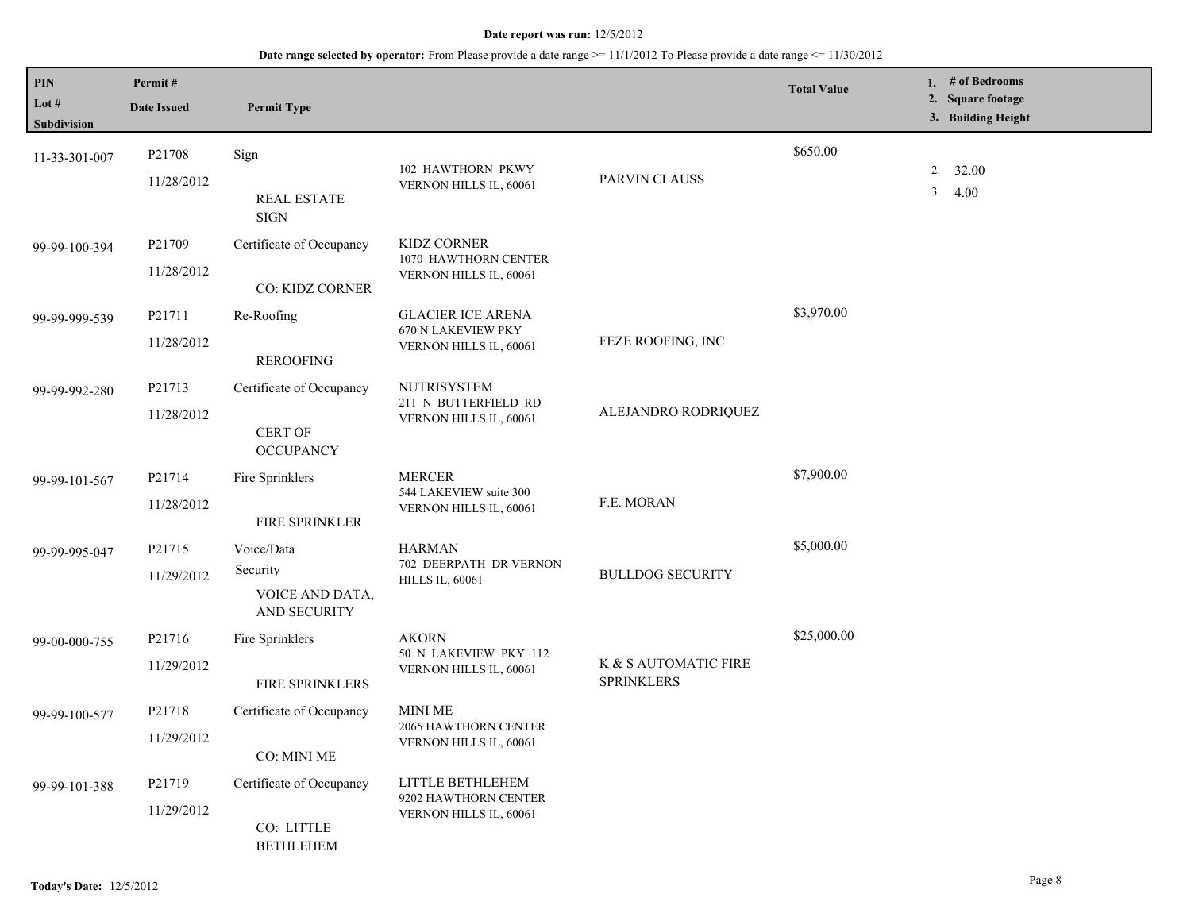| <b>PIN</b><br>Lot $#$<br>Subdivision | Permit#<br><b>Date Issued</b> | <b>Permit Type</b>                                             |                                                                          |                                           | <b>Total Value</b> | 1. # of Bedrooms<br>2. Square footage<br>3. Building Height |
|--------------------------------------|-------------------------------|----------------------------------------------------------------|--------------------------------------------------------------------------|-------------------------------------------|--------------------|-------------------------------------------------------------|
| 11-33-301-007                        | P21708<br>11/28/2012          | Sign<br><b>REAL ESTATE</b><br><b>SIGN</b>                      | 102 HAWTHORN PKWY<br>VERNON HILLS IL, 60061                              | PARVIN CLAUSS                             | \$650.00           | 2. 32.00<br>3.4.00                                          |
| 99-99-100-394                        | P21709<br>11/28/2012          | Certificate of Occupancy<br>CO: KIDZ CORNER                    | KIDZ CORNER<br>1070 HAWTHORN CENTER<br>VERNON HILLS IL, 60061            |                                           |                    |                                                             |
| 99-99-999-539                        | P21711<br>11/28/2012          | Re-Roofing<br><b>REROOFING</b>                                 | <b>GLACIER ICE ARENA</b><br>670 N LAKEVIEW PKY<br>VERNON HILLS IL, 60061 | FEZE ROOFING, INC                         | \$3,970.00         |                                                             |
| 99-99-992-280                        | P21713<br>11/28/2012          | Certificate of Occupancy<br><b>CERT OF</b><br><b>OCCUPANCY</b> | <b>NUTRISYSTEM</b><br>211 N BUTTERFIELD RD<br>VERNON HILLS IL, 60061     | ALEJANDRO RODRIQUEZ                       |                    |                                                             |
| 99-99-101-567                        | P21714<br>11/28/2012          | Fire Sprinklers<br>FIRE SPRINKLER                              | <b>MERCER</b><br>544 LAKEVIEW suite 300<br>VERNON HILLS IL, 60061        | F.E. MORAN                                | \$7,900.00         |                                                             |
| 99-99-995-047                        | P21715<br>11/29/2012          | Voice/Data<br>Security<br>VOICE AND DATA,<br>AND SECURITY      | <b>HARMAN</b><br>702 DEERPATH DR VERNON<br><b>HILLS IL, 60061</b>        | <b>BULLDOG SECURITY</b>                   | \$5,000.00         |                                                             |
| 99-00-000-755                        | P21716<br>11/29/2012          | Fire Sprinklers<br>FIRE SPRINKLERS                             | <b>AKORN</b><br>50 N LAKEVIEW PKY 112<br>VERNON HILLS IL, 60061          | K & S AUTOMATIC FIRE<br><b>SPRINKLERS</b> | \$25,000.00        |                                                             |
| 99-99-100-577                        | P21718<br>11/29/2012          | Certificate of Occupancy<br>CO: MINI ME                        | <b>MINI ME</b><br><b>2065 HAWTHORN CENTER</b><br>VERNON HILLS IL, 60061  |                                           |                    |                                                             |
| 99-99-101-388                        | P21719<br>11/29/2012          | Certificate of Occupancy<br>CO: LITTLE<br><b>BETHLEHEM</b>     | LITTLE BETHLEHEM<br>9202 HAWTHORN CENTER<br>VERNON HILLS IL, 60061       |                                           |                    |                                                             |